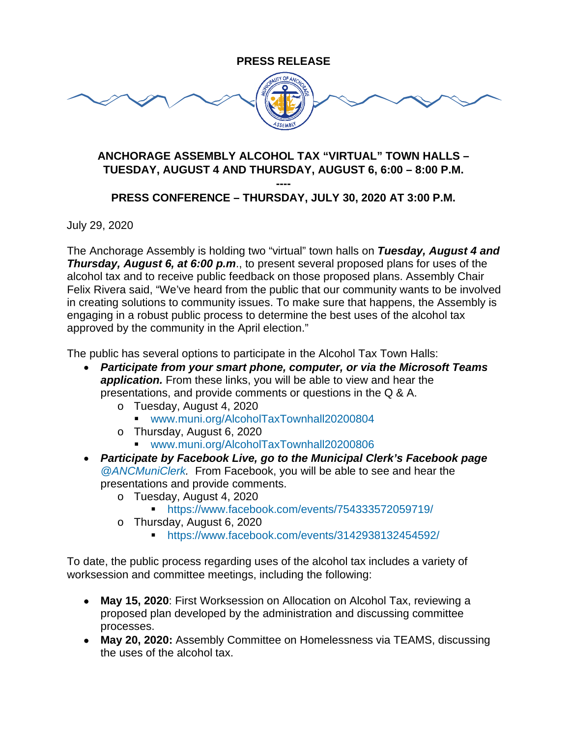## **PRESS RELEASE**



## **ANCHORAGE ASSEMBLY ALCOHOL TAX "VIRTUAL" TOWN HALLS – TUESDAY, AUGUST 4 AND THURSDAY, AUGUST 6, 6:00 – 8:00 P.M.**

**----**

## **PRESS CONFERENCE – THURSDAY, JULY 30, 2020 AT 3:00 P.M.**

July 29, 2020

The Anchorage Assembly is holding two "virtual" town halls on *Tuesday, August 4 and Thursday, August 6, at 6:00 p.m*., to present several proposed plans for uses of the alcohol tax and to receive public feedback on those proposed plans. Assembly Chair Felix Rivera said, "We've heard from the public that our community wants to be involved in creating solutions to community issues. To make sure that happens, the Assembly is engaging in a robust public process to determine the best uses of the alcohol tax approved by the community in the April election."

The public has several options to participate in the Alcohol Tax Town Halls:

- *Participate from your smart phone, computer, or via the Microsoft Teams application.* From these links, you will be able to view and hear the presentations, and provide comments or questions in the Q & A.
	- o Tuesday, August 4, 2020
		- [www.muni.org/AlcoholTaxTownhall20200804](http://www.muni.org/AlcoholTaxTownhall20200804)
	- o Thursday, August 6, 2020
		- [www.muni.org/AlcoholTaxTownhall20200806](http://www.muni.org/AlcoholTaxTownhall20200806)
- *Participate by Facebook Live, go to the Municipal Clerk's Facebook page [@ANCMuniClerk.](https://www.facebook.com/ANCMuniClerk/)* From Facebook, you will be able to see and hear the presentations and provide comments.
	- o Tuesday, August 4, 2020
		- <https://www.facebook.com/events/754333572059719/>
	- o Thursday, August 6, 2020
		- <https://www.facebook.com/events/3142938132454592/>

To date, the public process regarding uses of the alcohol tax includes a variety of worksession and committee meetings, including the following:

- **May 15, 2020**: First Worksession on Allocation on Alcohol Tax, reviewing a proposed plan developed by the administration and discussing committee processes.
- **May 20, 2020:** Assembly Committee on Homelessness via TEAMS, discussing the uses of the alcohol tax.